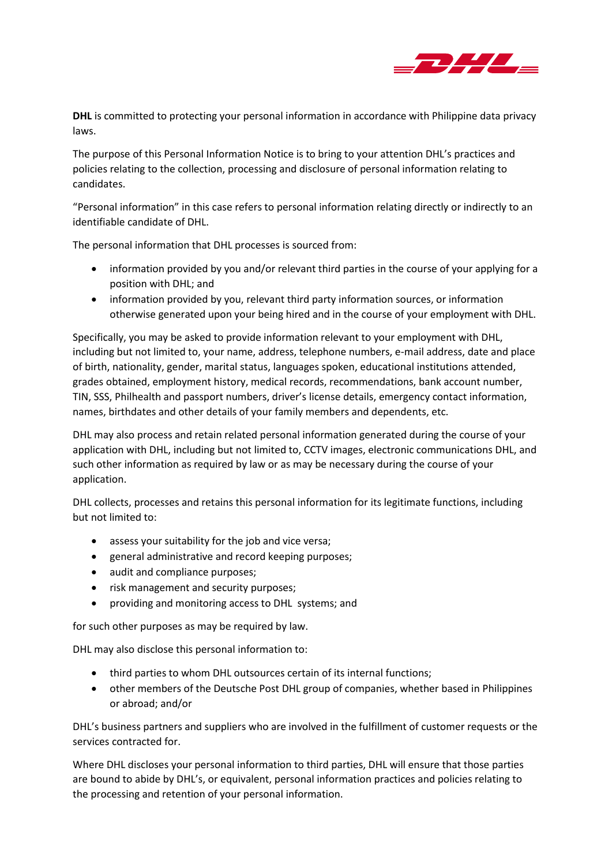

**DHL** is committed to protecting your personal information in accordance with Philippine data privacy laws.

The purpose of this Personal Information Notice is to bring to your attention DHL's practices and policies relating to the collection, processing and disclosure of personal information relating to candidates.

"Personal information" in this case refers to personal information relating directly or indirectly to an identifiable candidate of DHL.

The personal information that DHL processes is sourced from:

- information provided by you and/or relevant third parties in the course of your applying for a position with DHL; and
- information provided by you, relevant third party information sources, or information otherwise generated upon your being hired and in the course of your employment with DHL.

Specifically, you may be asked to provide information relevant to your employment with DHL, including but not limited to, your name, address, telephone numbers, e-mail address, date and place of birth, nationality, gender, marital status, languages spoken, educational institutions attended, grades obtained, employment history, medical records, recommendations, bank account number, TIN, SSS, Philhealth and passport numbers, driver's license details, emergency contact information, names, birthdates and other details of your family members and dependents, etc.

DHL may also process and retain related personal information generated during the course of your application with DHL, including but not limited to, CCTV images, electronic communications DHL, and such other information as required by law or as may be necessary during the course of your application.

DHL collects, processes and retains this personal information for its legitimate functions, including but not limited to:

- assess your suitability for the job and vice versa;
- general administrative and record keeping purposes;
- audit and compliance purposes;
- risk management and security purposes;
- providing and monitoring access to DHL systems; and

for such other purposes as may be required by law.

DHL may also disclose this personal information to:

- third parties to whom DHL outsources certain of its internal functions;
- other members of the Deutsche Post DHL group of companies, whether based in Philippines or abroad; and/or

DHL's business partners and suppliers who are involved in the fulfillment of customer requests or the services contracted for.

Where DHL discloses your personal information to third parties, DHL will ensure that those parties are bound to abide by DHL's, or equivalent, personal information practices and policies relating to the processing and retention of your personal information.